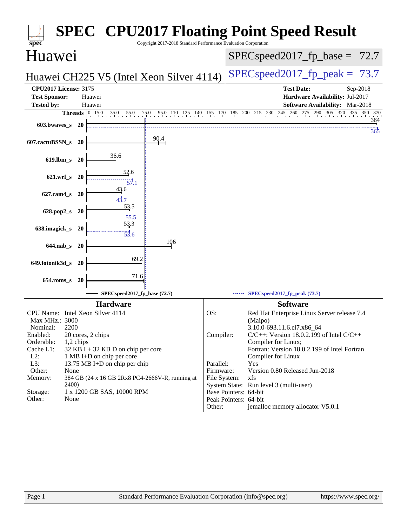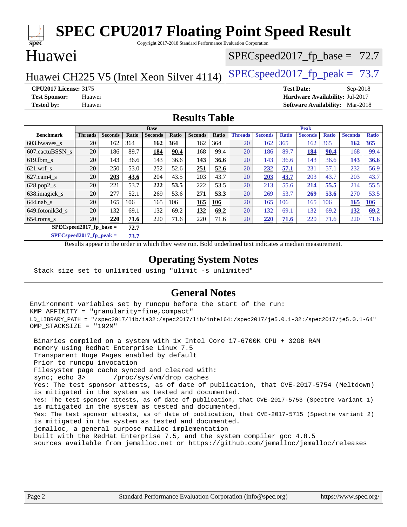#### **[spec](http://www.spec.org/) [SPEC CPU2017 Floating Point Speed Result](http://www.spec.org/auto/cpu2017/Docs/result-fields.html#SPECCPU2017FloatingPointSpeedResult)** Copyright 2017-2018 Standard Performance Evaluation Corporation Huawei Huawei CH225 V5 (Intel Xeon Silver 4114) [SPECspeed2017\\_fp\\_peak =](http://www.spec.org/auto/cpu2017/Docs/result-fields.html#SPECspeed2017fppeak)  $73.7$  $SPECspeed2017_fp\_base = 72.7$ **[CPU2017 License:](http://www.spec.org/auto/cpu2017/Docs/result-fields.html#CPU2017License)** 3175 **[Test Date:](http://www.spec.org/auto/cpu2017/Docs/result-fields.html#TestDate)** Sep-2018 **[Test Sponsor:](http://www.spec.org/auto/cpu2017/Docs/result-fields.html#TestSponsor)** Huawei **[Hardware Availability:](http://www.spec.org/auto/cpu2017/Docs/result-fields.html#HardwareAvailability)** Jul-2017 **[Tested by:](http://www.spec.org/auto/cpu2017/Docs/result-fields.html#Testedby)** Huawei **[Software Availability:](http://www.spec.org/auto/cpu2017/Docs/result-fields.html#SoftwareAvailability)** Mar-2018 **[Results Table](http://www.spec.org/auto/cpu2017/Docs/result-fields.html#ResultsTable) [Benchmark](http://www.spec.org/auto/cpu2017/Docs/result-fields.html#Benchmark) [Threads](http://www.spec.org/auto/cpu2017/Docs/result-fields.html#Threads) [Seconds](http://www.spec.org/auto/cpu2017/Docs/result-fields.html#Seconds) [Ratio](http://www.spec.org/auto/cpu2017/Docs/result-fields.html#Ratio) [Seconds](http://www.spec.org/auto/cpu2017/Docs/result-fields.html#Seconds) [Ratio](http://www.spec.org/auto/cpu2017/Docs/result-fields.html#Ratio) [Seconds](http://www.spec.org/auto/cpu2017/Docs/result-fields.html#Seconds) [Ratio](http://www.spec.org/auto/cpu2017/Docs/result-fields.html#Ratio) Base [Threads](http://www.spec.org/auto/cpu2017/Docs/result-fields.html#Threads) [Seconds](http://www.spec.org/auto/cpu2017/Docs/result-fields.html#Seconds) [Ratio](http://www.spec.org/auto/cpu2017/Docs/result-fields.html#Ratio) [Seconds](http://www.spec.org/auto/cpu2017/Docs/result-fields.html#Seconds) [Ratio](http://www.spec.org/auto/cpu2017/Docs/result-fields.html#Ratio) [Seconds](http://www.spec.org/auto/cpu2017/Docs/result-fields.html#Seconds) [Ratio](http://www.spec.org/auto/cpu2017/Docs/result-fields.html#Ratio) Peak** [603.bwaves\\_s](http://www.spec.org/auto/cpu2017/Docs/benchmarks/603.bwaves_s.html) 20 162 364 **[162](http://www.spec.org/auto/cpu2017/Docs/result-fields.html#Median) [364](http://www.spec.org/auto/cpu2017/Docs/result-fields.html#Median)** 162 364 20 162 365 162 365 **[162](http://www.spec.org/auto/cpu2017/Docs/result-fields.html#Median) [365](http://www.spec.org/auto/cpu2017/Docs/result-fields.html#Median)** [607.cactuBSSN\\_s](http://www.spec.org/auto/cpu2017/Docs/benchmarks/607.cactuBSSN_s.html) 20 186 89.7 **[184](http://www.spec.org/auto/cpu2017/Docs/result-fields.html#Median) [90.4](http://www.spec.org/auto/cpu2017/Docs/result-fields.html#Median)** 168 99.4 20 186 89.7 **[184](http://www.spec.org/auto/cpu2017/Docs/result-fields.html#Median) [90.4](http://www.spec.org/auto/cpu2017/Docs/result-fields.html#Median)** 168 99.4 [619.lbm\\_s](http://www.spec.org/auto/cpu2017/Docs/benchmarks/619.lbm_s.html) 20 143 36.6 143 36.6 **[143](http://www.spec.org/auto/cpu2017/Docs/result-fields.html#Median) [36.6](http://www.spec.org/auto/cpu2017/Docs/result-fields.html#Median)** 20 143 36.6 143 36.6 **[143](http://www.spec.org/auto/cpu2017/Docs/result-fields.html#Median) [36.6](http://www.spec.org/auto/cpu2017/Docs/result-fields.html#Median)** [621.wrf\\_s](http://www.spec.org/auto/cpu2017/Docs/benchmarks/621.wrf_s.html) 20 250 53.0 252 52.6 **[251](http://www.spec.org/auto/cpu2017/Docs/result-fields.html#Median) [52.6](http://www.spec.org/auto/cpu2017/Docs/result-fields.html#Median)** 20 **[232](http://www.spec.org/auto/cpu2017/Docs/result-fields.html#Median) [57.1](http://www.spec.org/auto/cpu2017/Docs/result-fields.html#Median)** 231 57.1 232 56.9 [627.cam4\\_s](http://www.spec.org/auto/cpu2017/Docs/benchmarks/627.cam4_s.html) 20 **[203](http://www.spec.org/auto/cpu2017/Docs/result-fields.html#Median) [43.6](http://www.spec.org/auto/cpu2017/Docs/result-fields.html#Median)** 204 43.5 203 43.7 20 **[203](http://www.spec.org/auto/cpu2017/Docs/result-fields.html#Median) [43.7](http://www.spec.org/auto/cpu2017/Docs/result-fields.html#Median)** 203 43.7 203 43.7 [628.pop2\\_s](http://www.spec.org/auto/cpu2017/Docs/benchmarks/628.pop2_s.html) 20 221 53.7 **[222](http://www.spec.org/auto/cpu2017/Docs/result-fields.html#Median) [53.5](http://www.spec.org/auto/cpu2017/Docs/result-fields.html#Median)** 222 53.5 20 213 55.6 **[214](http://www.spec.org/auto/cpu2017/Docs/result-fields.html#Median) [55.5](http://www.spec.org/auto/cpu2017/Docs/result-fields.html#Median)** 214 55.5 [638.imagick\\_s](http://www.spec.org/auto/cpu2017/Docs/benchmarks/638.imagick_s.html) 20 277 52.1 269 53.6 **[271](http://www.spec.org/auto/cpu2017/Docs/result-fields.html#Median) [53.3](http://www.spec.org/auto/cpu2017/Docs/result-fields.html#Median)** 20 269 53.7 **[269](http://www.spec.org/auto/cpu2017/Docs/result-fields.html#Median) [53.6](http://www.spec.org/auto/cpu2017/Docs/result-fields.html#Median)** 270 53.5 [644.nab\\_s](http://www.spec.org/auto/cpu2017/Docs/benchmarks/644.nab_s.html) 20 165 106 165 106 **[165](http://www.spec.org/auto/cpu2017/Docs/result-fields.html#Median) [106](http://www.spec.org/auto/cpu2017/Docs/result-fields.html#Median)** 20 165 106 165 106 **[165](http://www.spec.org/auto/cpu2017/Docs/result-fields.html#Median) [106](http://www.spec.org/auto/cpu2017/Docs/result-fields.html#Median)** [649.fotonik3d\\_s](http://www.spec.org/auto/cpu2017/Docs/benchmarks/649.fotonik3d_s.html) 20 132 69.1 132 69.2 **[132](http://www.spec.org/auto/cpu2017/Docs/result-fields.html#Median) [69.2](http://www.spec.org/auto/cpu2017/Docs/result-fields.html#Median)** 20 132 69.1 132 69.2 **[132](http://www.spec.org/auto/cpu2017/Docs/result-fields.html#Median) [69.2](http://www.spec.org/auto/cpu2017/Docs/result-fields.html#Median)** [654.roms\\_s](http://www.spec.org/auto/cpu2017/Docs/benchmarks/654.roms_s.html) 20 **[220](http://www.spec.org/auto/cpu2017/Docs/result-fields.html#Median) [71.6](http://www.spec.org/auto/cpu2017/Docs/result-fields.html#Median)** 220 71.6 220 71.6 20 **[220](http://www.spec.org/auto/cpu2017/Docs/result-fields.html#Median) [71.6](http://www.spec.org/auto/cpu2017/Docs/result-fields.html#Median)** 220 71.6 220 71.6 **[SPECspeed2017\\_fp\\_base =](http://www.spec.org/auto/cpu2017/Docs/result-fields.html#SPECspeed2017fpbase) 72.7 [SPECspeed2017\\_fp\\_peak =](http://www.spec.org/auto/cpu2017/Docs/result-fields.html#SPECspeed2017fppeak) 73.7**

Results appear in the [order in which they were run.](http://www.spec.org/auto/cpu2017/Docs/result-fields.html#RunOrder) Bold underlined text [indicates a median measurement](http://www.spec.org/auto/cpu2017/Docs/result-fields.html#Median).

### **[Operating System Notes](http://www.spec.org/auto/cpu2017/Docs/result-fields.html#OperatingSystemNotes)**

Stack size set to unlimited using "ulimit -s unlimited"

### **[General Notes](http://www.spec.org/auto/cpu2017/Docs/result-fields.html#GeneralNotes)**

Environment variables set by runcpu before the start of the run: KMP\_AFFINITY = "granularity=fine,compact" LD\_LIBRARY\_PATH = "/spec2017/lib/ia32:/spec2017/lib/intel64:/spec2017/je5.0.1-32:/spec2017/je5.0.1-64" OMP\_STACKSIZE = "192M"

 Binaries compiled on a system with 1x Intel Core i7-6700K CPU + 32GB RAM memory using Redhat Enterprise Linux 7.5 Transparent Huge Pages enabled by default Prior to runcpu invocation Filesystem page cache synced and cleared with: sync; echo 3> /proc/sys/vm/drop\_caches Yes: The test sponsor attests, as of date of publication, that CVE-2017-5754 (Meltdown) is mitigated in the system as tested and documented. Yes: The test sponsor attests, as of date of publication, that CVE-2017-5753 (Spectre variant 1) is mitigated in the system as tested and documented. Yes: The test sponsor attests, as of date of publication, that CVE-2017-5715 (Spectre variant 2) is mitigated in the system as tested and documented. jemalloc, a general purpose malloc implementation built with the RedHat Enterprise 7.5, and the system compiler gcc 4.8.5 sources available from jemalloc.net or <https://github.com/jemalloc/jemalloc/releases>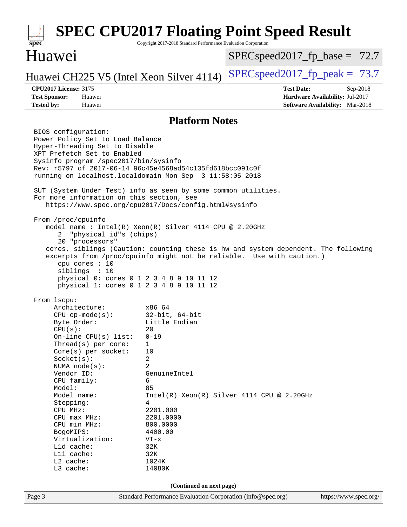#### Page 3 Standard Performance Evaluation Corporation [\(info@spec.org\)](mailto:info@spec.org) <https://www.spec.org/> **[spec](http://www.spec.org/) [SPEC CPU2017 Floating Point Speed Result](http://www.spec.org/auto/cpu2017/Docs/result-fields.html#SPECCPU2017FloatingPointSpeedResult)** Copyright 2017-2018 Standard Performance Evaluation Corporation Huawei Huawei CH225 V5 (Intel Xeon Silver 4114) [SPECspeed2017\\_fp\\_peak =](http://www.spec.org/auto/cpu2017/Docs/result-fields.html#SPECspeed2017fppeak)  $73.7$  $SPECspeed2017_fp\_base = 72.7$ **[CPU2017 License:](http://www.spec.org/auto/cpu2017/Docs/result-fields.html#CPU2017License)** 3175 **[Test Date:](http://www.spec.org/auto/cpu2017/Docs/result-fields.html#TestDate)** Sep-2018 **[Test Sponsor:](http://www.spec.org/auto/cpu2017/Docs/result-fields.html#TestSponsor)** Huawei **[Hardware Availability:](http://www.spec.org/auto/cpu2017/Docs/result-fields.html#HardwareAvailability)** Jul-2017 **[Tested by:](http://www.spec.org/auto/cpu2017/Docs/result-fields.html#Testedby)** Huawei **[Software Availability:](http://www.spec.org/auto/cpu2017/Docs/result-fields.html#SoftwareAvailability)** Mar-2018 **[Platform Notes](http://www.spec.org/auto/cpu2017/Docs/result-fields.html#PlatformNotes)** BIOS configuration: Power Policy Set to Load Balance Hyper-Threading Set to Disable XPT Prefetch Set to Enabled Sysinfo program /spec2017/bin/sysinfo Rev: r5797 of 2017-06-14 96c45e4568ad54c135fd618bcc091c0f running on localhost.localdomain Mon Sep 3 11:58:05 2018 SUT (System Under Test) info as seen by some common utilities. For more information on this section, see <https://www.spec.org/cpu2017/Docs/config.html#sysinfo> From /proc/cpuinfo model name : Intel(R) Xeon(R) Silver 4114 CPU @ 2.20GHz 2 "physical id"s (chips) 20 "processors" cores, siblings (Caution: counting these is hw and system dependent. The following excerpts from /proc/cpuinfo might not be reliable. Use with caution.) cpu cores : 10 siblings : 10 physical 0: cores 0 1 2 3 4 8 9 10 11 12 physical 1: cores 0 1 2 3 4 8 9 10 11 12 From lscpu: Architecture: x86\_64 CPU op-mode(s): 32-bit, 64-bit Byte Order: Little Endian  $CPU(s):$  20 On-line CPU(s) list: 0-19 Thread(s) per core: 1 Core(s) per socket: 10 Socket(s): 2 NUMA node(s): 2 Vendor ID: GenuineIntel CPU family: 6 Model: 85 Model name:  $Intel(R)$  Xeon(R) Silver 4114 CPU @ 2.20GHz Stepping: 4 CPU MHz: 2201.000 CPU max MHz: 2201.0000 CPU min MHz: 800.0000 BogoMIPS: 4400.00 Virtualization: VT-x L1d cache: 32K<br>
L1i cache: 32K  $L1i$  cache: L2 cache: 1024K L3 cache: 14080K **(Continued on next page)**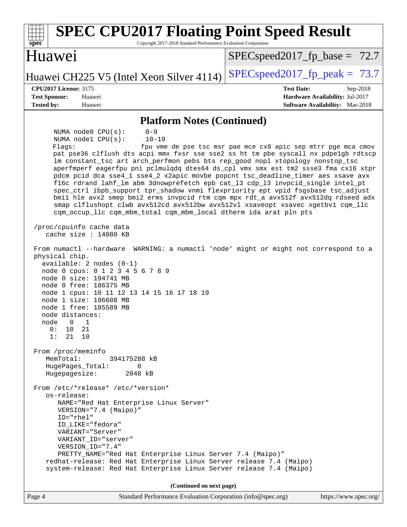| <b>SPEC CPU2017 Floating Point Speed Result</b><br>Copyright 2017-2018 Standard Performance Evaluation Corporation<br>spec                                                                                                                                                                                                                                                                                                                                                                                                                                                                                                                                                                                                                                                                                                                                                                                                                                        |                                                                                                              |  |
|-------------------------------------------------------------------------------------------------------------------------------------------------------------------------------------------------------------------------------------------------------------------------------------------------------------------------------------------------------------------------------------------------------------------------------------------------------------------------------------------------------------------------------------------------------------------------------------------------------------------------------------------------------------------------------------------------------------------------------------------------------------------------------------------------------------------------------------------------------------------------------------------------------------------------------------------------------------------|--------------------------------------------------------------------------------------------------------------|--|
| Huawei                                                                                                                                                                                                                                                                                                                                                                                                                                                                                                                                                                                                                                                                                                                                                                                                                                                                                                                                                            | $SPEC speed2017_f p\_base = 72.7$                                                                            |  |
| Huawei CH225 V5 (Intel Xeon Silver 4114)                                                                                                                                                                                                                                                                                                                                                                                                                                                                                                                                                                                                                                                                                                                                                                                                                                                                                                                          | $SPEC speed2017fr peak = 73.7$                                                                               |  |
| <b>CPU2017 License: 3175</b><br><b>Test Sponsor:</b><br>Huawei<br><b>Tested by:</b><br>Huawei                                                                                                                                                                                                                                                                                                                                                                                                                                                                                                                                                                                                                                                                                                                                                                                                                                                                     | <b>Test Date:</b><br>$Sep-2018$<br>Hardware Availability: Jul-2017<br><b>Software Availability:</b> Mar-2018 |  |
| <b>Platform Notes (Continued)</b>                                                                                                                                                                                                                                                                                                                                                                                                                                                                                                                                                                                                                                                                                                                                                                                                                                                                                                                                 |                                                                                                              |  |
| $0 - 9$<br>NUMA $node0$ $CPU(s)$ :<br>NUMA nodel CPU(s):<br>$10 - 19$<br>Flagg:<br>pat pse36 clflush dts acpi mmx fxsr sse sse2 ss ht tm pbe syscall nx pdpelgb rdtscp<br>lm constant_tsc art arch_perfmon pebs bts rep_good nopl xtopology nonstop_tsc<br>aperfmperf eagerfpu pni pclmulqdq dtes64 ds_cpl vmx smx est tm2 ssse3 fma cx16 xtpr<br>pdcm pcid dca sse4_1 sse4_2 x2apic movbe popcnt tsc_deadline_timer aes xsave avx<br>f16c rdrand lahf_lm abm 3dnowprefetch epb cat_13 cdp_13 invpcid_single intel_pt<br>spec_ctrl ibpb_support tpr_shadow vnmi flexpriority ept vpid fsgsbase tsc_adjust<br>bmil hle avx2 smep bmi2 erms invpcid rtm cqm mpx rdt_a avx512f avx512dq rdseed adx<br>smap clflushopt clwb avx512cd avx512bw avx512vl xsaveopt xsavec xgetbvl cqm_llc<br>cqm_occup_llc cqm_mbm_total cqm_mbm_local dtherm ida arat pln pts<br>/proc/cpuinfo cache data                                                                               | fpu vme de pse tsc msr pae mce cx8 apic sep mtrr pge mca cmov                                                |  |
| cache size : 14080 KB<br>From numactl --hardware WARNING: a numactl 'node' might or might not correspond to a<br>physical chip.<br>available: 2 nodes (0-1)<br>node 0 cpus: 0 1 2 3 4 5 6 7 8 9<br>node 0 size: 194741 MB<br>node 0 free: 186375 MB<br>node 1 cpus: 10 11 12 13 14 15 16 17 18 19<br>node 1 size: 196608 MB<br>node 1 free: 185589 MB<br>node distances:<br>node 0 1<br>0:<br>10 21<br>1: 21 10<br>From /proc/meminfo<br>MemTotal:<br>394175288 kB<br>HugePages_Total:<br>$\Omega$<br>Hugepagesize:<br>2048 kB<br>From /etc/*release* /etc/*version*<br>os-release:<br>NAME="Red Hat Enterprise Linux Server"<br>VERSION="7.4 (Maipo)"<br>ID="rhel"<br>ID_LIKE="fedora"<br>VARIANT="Server"<br>VARIANT_ID="server"<br>VERSION_ID="7.4"<br>PRETTY_NAME="Red Hat Enterprise Linux Server 7.4 (Maipo)"<br>redhat-release: Red Hat Enterprise Linux Server release 7.4 (Maipo)<br>system-release: Red Hat Enterprise Linux Server release 7.4 (Maipo) |                                                                                                              |  |
| (Continued on next page)                                                                                                                                                                                                                                                                                                                                                                                                                                                                                                                                                                                                                                                                                                                                                                                                                                                                                                                                          |                                                                                                              |  |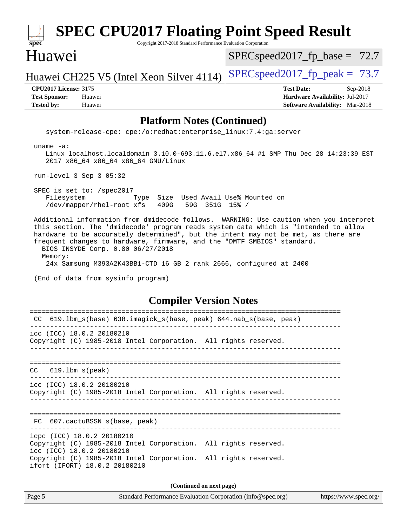| <b>SPEC CPU2017 Floating Point Speed Result</b><br>spec <sup>®</sup><br>Copyright 2017-2018 Standard Performance Evaluation Corporation                                                                                                                                                                                                                                                                                                                                                                    |                                                                                                            |  |
|------------------------------------------------------------------------------------------------------------------------------------------------------------------------------------------------------------------------------------------------------------------------------------------------------------------------------------------------------------------------------------------------------------------------------------------------------------------------------------------------------------|------------------------------------------------------------------------------------------------------------|--|
| Huawei                                                                                                                                                                                                                                                                                                                                                                                                                                                                                                     | $SPEC speed2017_f p\_base = 72.7$                                                                          |  |
| Huawei CH225 V5 (Intel Xeon Silver 4114)                                                                                                                                                                                                                                                                                                                                                                                                                                                                   | $SPEC speed2017fp peak = 73.7$                                                                             |  |
| <b>CPU2017 License: 3175</b><br><b>Test Sponsor:</b><br>Huawei<br><b>Tested by:</b><br>Huawei                                                                                                                                                                                                                                                                                                                                                                                                              | <b>Test Date:</b><br>Sep-2018<br>Hardware Availability: Jul-2017<br><b>Software Availability:</b> Mar-2018 |  |
| <b>Platform Notes (Continued)</b>                                                                                                                                                                                                                                                                                                                                                                                                                                                                          |                                                                                                            |  |
| system-release-cpe: cpe:/o:redhat:enterprise_linux:7.4:ga:server                                                                                                                                                                                                                                                                                                                                                                                                                                           |                                                                                                            |  |
| uname $-a$ :<br>Linux localhost.localdomain 3.10.0-693.11.6.el7.x86_64 #1 SMP Thu Dec 28 14:23:39 EST<br>2017 x86_64 x86_64 x86_64 GNU/Linux                                                                                                                                                                                                                                                                                                                                                               |                                                                                                            |  |
| run-level 3 Sep 3 05:32                                                                                                                                                                                                                                                                                                                                                                                                                                                                                    |                                                                                                            |  |
| SPEC is set to: /spec2017<br>Filesystem<br>Type Size Used Avail Use% Mounted on<br>/dev/mapper/rhel-root xfs<br>409G<br>59G 351G 15% /                                                                                                                                                                                                                                                                                                                                                                     |                                                                                                            |  |
| Additional information from dmidecode follows. WARNING: Use caution when you interpret<br>this section. The 'dmidecode' program reads system data which is "intended to allow<br>hardware to be accurately determined", but the intent may not be met, as there are<br>frequent changes to hardware, firmware, and the "DMTF SMBIOS" standard.<br>BIOS INSYDE Corp. 0.80 06/27/2018<br>Memory:<br>24x Samsung M393A2K43BB1-CTD 16 GB 2 rank 2666, configured at 2400<br>(End of data from sysinfo program) |                                                                                                            |  |
| <b>Compiler Version Notes</b>                                                                                                                                                                                                                                                                                                                                                                                                                                                                              |                                                                                                            |  |
| ======================<br>=======================<br>619.1bm_s(base) 638.imagick_s(base, peak) 644.nab_s(base, peak)                                                                                                                                                                                                                                                                                                                                                                                       |                                                                                                            |  |
| icc (ICC) 18.0.2 20180210<br>Copyright (C) 1985-2018 Intel Corporation. All rights reserved.                                                                                                                                                                                                                                                                                                                                                                                                               |                                                                                                            |  |
| CC<br>$619.1$ bm_s(peak)                                                                                                                                                                                                                                                                                                                                                                                                                                                                                   |                                                                                                            |  |
| icc (ICC) 18.0.2 20180210<br>Copyright (C) 1985-2018 Intel Corporation. All rights reserved.                                                                                                                                                                                                                                                                                                                                                                                                               |                                                                                                            |  |
| FC 607.cactuBSSN_s(base, peak)                                                                                                                                                                                                                                                                                                                                                                                                                                                                             |                                                                                                            |  |
| icpc (ICC) 18.0.2 20180210<br>Copyright (C) 1985-2018 Intel Corporation. All rights reserved.<br>icc (ICC) 18.0.2 20180210                                                                                                                                                                                                                                                                                                                                                                                 |                                                                                                            |  |
| Copyright (C) 1985-2018 Intel Corporation. All rights reserved.<br>ifort (IFORT) 18.0.2 20180210                                                                                                                                                                                                                                                                                                                                                                                                           |                                                                                                            |  |
| (Continued on next page)                                                                                                                                                                                                                                                                                                                                                                                                                                                                                   |                                                                                                            |  |
| Page 5<br>Standard Performance Evaluation Corporation (info@spec.org)                                                                                                                                                                                                                                                                                                                                                                                                                                      | https://www.spec.org/                                                                                      |  |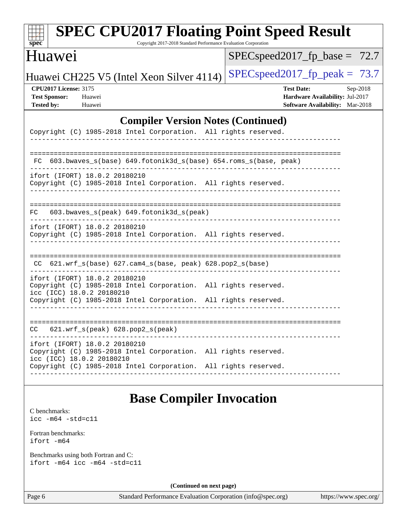| <b>SPEC CPU2017 Floating Point Speed Result</b><br>spec <sup>®</sup><br>Copyright 2017-2018 Standard Performance Evaluation Corporation                               |                                                                                                              |
|-----------------------------------------------------------------------------------------------------------------------------------------------------------------------|--------------------------------------------------------------------------------------------------------------|
| Huawei                                                                                                                                                                | $SPEC speed2017_fp\_base = 72.7$                                                                             |
| Huawei CH225 V5 (Intel Xeon Silver 4114)                                                                                                                              | $SPEC speed2017_fp_peak = 73.7$                                                                              |
| <b>CPU2017 License: 3175</b><br><b>Test Sponsor:</b><br>Huawei<br><b>Tested by:</b><br>Huawei                                                                         | <b>Test Date:</b><br>$Sep-2018$<br>Hardware Availability: Jul-2017<br><b>Software Availability:</b> Mar-2018 |
| <b>Compiler Version Notes (Continued)</b>                                                                                                                             |                                                                                                              |
| Copyright (C) 1985-2018 Intel Corporation. All rights reserved.                                                                                                       |                                                                                                              |
| 603.bwaves_s(base) 649.fotonik3d_s(base) 654.roms_s(base, peak)<br>FC.                                                                                                |                                                                                                              |
| ifort (IFORT) 18.0.2 20180210<br>Copyright (C) 1985-2018 Intel Corporation. All rights reserved.                                                                      |                                                                                                              |
| 603.bwaves_s(peak) 649.fotonik3d_s(peak)<br>FC.                                                                                                                       |                                                                                                              |
| ifort (IFORT) 18.0.2 20180210<br>Copyright (C) 1985-2018 Intel Corporation. All rights reserved.                                                                      |                                                                                                              |
| 621.wrf_s(base) 627.cam4_s(base, peak) 628.pop2_s(base)<br>CC.                                                                                                        |                                                                                                              |
| ifort (IFORT) 18.0.2 20180210<br>Copyright (C) 1985-2018 Intel Corporation. All rights reserved.<br>icc (ICC) 18.0.2 20180210                                         |                                                                                                              |
| Copyright (C) 1985-2018 Intel Corporation. All rights reserved.                                                                                                       |                                                                                                              |
| 621.wrf_s(peak) 628.pop2_s(peak)<br>CC.                                                                                                                               |                                                                                                              |
| . <u>_ _ _ _ _ _ _ _ _ _ _ _ _ _</u><br>ifort (IFORT) 18.0.2 20180210<br>Copyright (C) 1985-2018 Intel Corporation. All rights reserved.<br>icc (ICC) 18.0.2 20180210 |                                                                                                              |
| Copyright (C) 1985-2018 Intel Corporation. All rights reserved.                                                                                                       |                                                                                                              |

## **[Base Compiler Invocation](http://www.spec.org/auto/cpu2017/Docs/result-fields.html#BaseCompilerInvocation)**

[C benchmarks](http://www.spec.org/auto/cpu2017/Docs/result-fields.html#Cbenchmarks): [icc -m64 -std=c11](http://www.spec.org/cpu2017/results/res2018q4/cpu2017-20180904-08814.flags.html#user_CCbase_intel_icc_64bit_c11_33ee0cdaae7deeeab2a9725423ba97205ce30f63b9926c2519791662299b76a0318f32ddfffdc46587804de3178b4f9328c46fa7c2b0cd779d7a61945c91cd35)

[Fortran benchmarks](http://www.spec.org/auto/cpu2017/Docs/result-fields.html#Fortranbenchmarks): [ifort -m64](http://www.spec.org/cpu2017/results/res2018q4/cpu2017-20180904-08814.flags.html#user_FCbase_intel_ifort_64bit_24f2bb282fbaeffd6157abe4f878425411749daecae9a33200eee2bee2fe76f3b89351d69a8130dd5949958ce389cf37ff59a95e7a40d588e8d3a57e0c3fd751)

[Benchmarks using both Fortran and C](http://www.spec.org/auto/cpu2017/Docs/result-fields.html#BenchmarksusingbothFortranandC): [ifort -m64](http://www.spec.org/cpu2017/results/res2018q4/cpu2017-20180904-08814.flags.html#user_CC_FCbase_intel_ifort_64bit_24f2bb282fbaeffd6157abe4f878425411749daecae9a33200eee2bee2fe76f3b89351d69a8130dd5949958ce389cf37ff59a95e7a40d588e8d3a57e0c3fd751) [icc -m64 -std=c11](http://www.spec.org/cpu2017/results/res2018q4/cpu2017-20180904-08814.flags.html#user_CC_FCbase_intel_icc_64bit_c11_33ee0cdaae7deeeab2a9725423ba97205ce30f63b9926c2519791662299b76a0318f32ddfffdc46587804de3178b4f9328c46fa7c2b0cd779d7a61945c91cd35)

**(Continued on next page)**

Page 6 Standard Performance Evaluation Corporation [\(info@spec.org\)](mailto:info@spec.org) <https://www.spec.org/>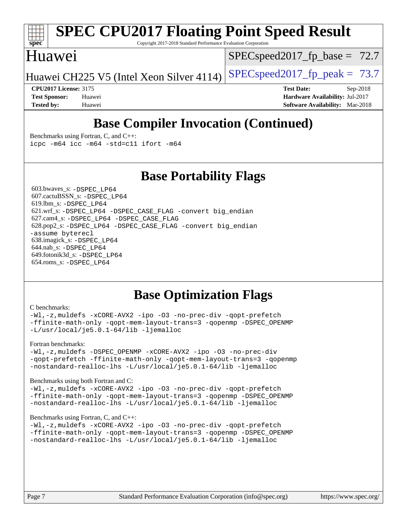# **[spec](http://www.spec.org/)**

## **[SPEC CPU2017 Floating Point Speed Result](http://www.spec.org/auto/cpu2017/Docs/result-fields.html#SPECCPU2017FloatingPointSpeedResult)**

Copyright 2017-2018 Standard Performance Evaluation Corporation

### Huawei

 $SPECspeed2017_fp\_base = 72.7$ 

Huawei CH225 V5 (Intel Xeon Silver 4114) [SPECspeed2017\\_fp\\_peak =](http://www.spec.org/auto/cpu2017/Docs/result-fields.html#SPECspeed2017fppeak)  $73.7$ 

**[CPU2017 License:](http://www.spec.org/auto/cpu2017/Docs/result-fields.html#CPU2017License)** 3175 **[Test Date:](http://www.spec.org/auto/cpu2017/Docs/result-fields.html#TestDate)** Sep-2018 **[Test Sponsor:](http://www.spec.org/auto/cpu2017/Docs/result-fields.html#TestSponsor)** Huawei **[Hardware Availability:](http://www.spec.org/auto/cpu2017/Docs/result-fields.html#HardwareAvailability)** Jul-2017 **[Tested by:](http://www.spec.org/auto/cpu2017/Docs/result-fields.html#Testedby)** Huawei **[Software Availability:](http://www.spec.org/auto/cpu2017/Docs/result-fields.html#SoftwareAvailability)** Mar-2018

## **[Base Compiler Invocation \(Continued\)](http://www.spec.org/auto/cpu2017/Docs/result-fields.html#BaseCompilerInvocation)**

[Benchmarks using Fortran, C, and C++:](http://www.spec.org/auto/cpu2017/Docs/result-fields.html#BenchmarksusingFortranCandCXX) [icpc -m64](http://www.spec.org/cpu2017/results/res2018q4/cpu2017-20180904-08814.flags.html#user_CC_CXX_FCbase_intel_icpc_64bit_4ecb2543ae3f1412ef961e0650ca070fec7b7afdcd6ed48761b84423119d1bf6bdf5cad15b44d48e7256388bc77273b966e5eb805aefd121eb22e9299b2ec9d9) [icc -m64 -std=c11](http://www.spec.org/cpu2017/results/res2018q4/cpu2017-20180904-08814.flags.html#user_CC_CXX_FCbase_intel_icc_64bit_c11_33ee0cdaae7deeeab2a9725423ba97205ce30f63b9926c2519791662299b76a0318f32ddfffdc46587804de3178b4f9328c46fa7c2b0cd779d7a61945c91cd35) [ifort -m64](http://www.spec.org/cpu2017/results/res2018q4/cpu2017-20180904-08814.flags.html#user_CC_CXX_FCbase_intel_ifort_64bit_24f2bb282fbaeffd6157abe4f878425411749daecae9a33200eee2bee2fe76f3b89351d69a8130dd5949958ce389cf37ff59a95e7a40d588e8d3a57e0c3fd751)

### **[Base Portability Flags](http://www.spec.org/auto/cpu2017/Docs/result-fields.html#BasePortabilityFlags)**

 603.bwaves\_s: [-DSPEC\\_LP64](http://www.spec.org/cpu2017/results/res2018q4/cpu2017-20180904-08814.flags.html#suite_basePORTABILITY603_bwaves_s_DSPEC_LP64) 607.cactuBSSN\_s: [-DSPEC\\_LP64](http://www.spec.org/cpu2017/results/res2018q4/cpu2017-20180904-08814.flags.html#suite_basePORTABILITY607_cactuBSSN_s_DSPEC_LP64) 619.lbm\_s: [-DSPEC\\_LP64](http://www.spec.org/cpu2017/results/res2018q4/cpu2017-20180904-08814.flags.html#suite_basePORTABILITY619_lbm_s_DSPEC_LP64) 621.wrf\_s: [-DSPEC\\_LP64](http://www.spec.org/cpu2017/results/res2018q4/cpu2017-20180904-08814.flags.html#suite_basePORTABILITY621_wrf_s_DSPEC_LP64) [-DSPEC\\_CASE\\_FLAG](http://www.spec.org/cpu2017/results/res2018q4/cpu2017-20180904-08814.flags.html#b621.wrf_s_baseCPORTABILITY_DSPEC_CASE_FLAG) [-convert big\\_endian](http://www.spec.org/cpu2017/results/res2018q4/cpu2017-20180904-08814.flags.html#user_baseFPORTABILITY621_wrf_s_convert_big_endian_c3194028bc08c63ac5d04de18c48ce6d347e4e562e8892b8bdbdc0214820426deb8554edfa529a3fb25a586e65a3d812c835984020483e7e73212c4d31a38223) 627.cam4\_s: [-DSPEC\\_LP64](http://www.spec.org/cpu2017/results/res2018q4/cpu2017-20180904-08814.flags.html#suite_basePORTABILITY627_cam4_s_DSPEC_LP64) [-DSPEC\\_CASE\\_FLAG](http://www.spec.org/cpu2017/results/res2018q4/cpu2017-20180904-08814.flags.html#b627.cam4_s_baseCPORTABILITY_DSPEC_CASE_FLAG) 628.pop2\_s: [-DSPEC\\_LP64](http://www.spec.org/cpu2017/results/res2018q4/cpu2017-20180904-08814.flags.html#suite_basePORTABILITY628_pop2_s_DSPEC_LP64) [-DSPEC\\_CASE\\_FLAG](http://www.spec.org/cpu2017/results/res2018q4/cpu2017-20180904-08814.flags.html#b628.pop2_s_baseCPORTABILITY_DSPEC_CASE_FLAG) [-convert big\\_endian](http://www.spec.org/cpu2017/results/res2018q4/cpu2017-20180904-08814.flags.html#user_baseFPORTABILITY628_pop2_s_convert_big_endian_c3194028bc08c63ac5d04de18c48ce6d347e4e562e8892b8bdbdc0214820426deb8554edfa529a3fb25a586e65a3d812c835984020483e7e73212c4d31a38223) [-assume byterecl](http://www.spec.org/cpu2017/results/res2018q4/cpu2017-20180904-08814.flags.html#user_baseFPORTABILITY628_pop2_s_assume_byterecl_7e47d18b9513cf18525430bbf0f2177aa9bf368bc7a059c09b2c06a34b53bd3447c950d3f8d6c70e3faf3a05c8557d66a5798b567902e8849adc142926523472) 638.imagick\_s: [-DSPEC\\_LP64](http://www.spec.org/cpu2017/results/res2018q4/cpu2017-20180904-08814.flags.html#suite_basePORTABILITY638_imagick_s_DSPEC_LP64) 644.nab\_s: [-DSPEC\\_LP64](http://www.spec.org/cpu2017/results/res2018q4/cpu2017-20180904-08814.flags.html#suite_basePORTABILITY644_nab_s_DSPEC_LP64) 649.fotonik3d\_s: [-DSPEC\\_LP64](http://www.spec.org/cpu2017/results/res2018q4/cpu2017-20180904-08814.flags.html#suite_basePORTABILITY649_fotonik3d_s_DSPEC_LP64) 654.roms\_s: [-DSPEC\\_LP64](http://www.spec.org/cpu2017/results/res2018q4/cpu2017-20180904-08814.flags.html#suite_basePORTABILITY654_roms_s_DSPEC_LP64)

### **[Base Optimization Flags](http://www.spec.org/auto/cpu2017/Docs/result-fields.html#BaseOptimizationFlags)**

#### [C benchmarks](http://www.spec.org/auto/cpu2017/Docs/result-fields.html#Cbenchmarks):

[-Wl,-z,muldefs](http://www.spec.org/cpu2017/results/res2018q4/cpu2017-20180904-08814.flags.html#user_CCbase_link_force_multiple1_b4cbdb97b34bdee9ceefcfe54f4c8ea74255f0b02a4b23e853cdb0e18eb4525ac79b5a88067c842dd0ee6996c24547a27a4b99331201badda8798ef8a743f577) [-xCORE-AVX2](http://www.spec.org/cpu2017/results/res2018q4/cpu2017-20180904-08814.flags.html#user_CCbase_f-xCORE-AVX2) [-ipo](http://www.spec.org/cpu2017/results/res2018q4/cpu2017-20180904-08814.flags.html#user_CCbase_f-ipo) [-O3](http://www.spec.org/cpu2017/results/res2018q4/cpu2017-20180904-08814.flags.html#user_CCbase_f-O3) [-no-prec-div](http://www.spec.org/cpu2017/results/res2018q4/cpu2017-20180904-08814.flags.html#user_CCbase_f-no-prec-div) [-qopt-prefetch](http://www.spec.org/cpu2017/results/res2018q4/cpu2017-20180904-08814.flags.html#user_CCbase_f-qopt-prefetch) [-ffinite-math-only](http://www.spec.org/cpu2017/results/res2018q4/cpu2017-20180904-08814.flags.html#user_CCbase_f_finite_math_only_cb91587bd2077682c4b38af759c288ed7c732db004271a9512da14a4f8007909a5f1427ecbf1a0fb78ff2a814402c6114ac565ca162485bbcae155b5e4258871) [-qopt-mem-layout-trans=3](http://www.spec.org/cpu2017/results/res2018q4/cpu2017-20180904-08814.flags.html#user_CCbase_f-qopt-mem-layout-trans_de80db37974c74b1f0e20d883f0b675c88c3b01e9d123adea9b28688d64333345fb62bc4a798493513fdb68f60282f9a726aa07f478b2f7113531aecce732043) [-qopenmp](http://www.spec.org/cpu2017/results/res2018q4/cpu2017-20180904-08814.flags.html#user_CCbase_qopenmp_16be0c44f24f464004c6784a7acb94aca937f053568ce72f94b139a11c7c168634a55f6653758ddd83bcf7b8463e8028bb0b48b77bcddc6b78d5d95bb1df2967) [-DSPEC\\_OPENMP](http://www.spec.org/cpu2017/results/res2018q4/cpu2017-20180904-08814.flags.html#suite_CCbase_DSPEC_OPENMP) [-L/usr/local/je5.0.1-64/lib](http://www.spec.org/cpu2017/results/res2018q4/cpu2017-20180904-08814.flags.html#user_CCbase_jemalloc_link_path64_4b10a636b7bce113509b17f3bd0d6226c5fb2346b9178c2d0232c14f04ab830f976640479e5c33dc2bcbbdad86ecfb6634cbbd4418746f06f368b512fced5394) [-ljemalloc](http://www.spec.org/cpu2017/results/res2018q4/cpu2017-20180904-08814.flags.html#user_CCbase_jemalloc_link_lib_d1249b907c500fa1c0672f44f562e3d0f79738ae9e3c4a9c376d49f265a04b9c99b167ecedbf6711b3085be911c67ff61f150a17b3472be731631ba4d0471706)

#### [Fortran benchmarks](http://www.spec.org/auto/cpu2017/Docs/result-fields.html#Fortranbenchmarks):

[-Wl,-z,muldefs](http://www.spec.org/cpu2017/results/res2018q4/cpu2017-20180904-08814.flags.html#user_FCbase_link_force_multiple1_b4cbdb97b34bdee9ceefcfe54f4c8ea74255f0b02a4b23e853cdb0e18eb4525ac79b5a88067c842dd0ee6996c24547a27a4b99331201badda8798ef8a743f577) [-DSPEC\\_OPENMP](http://www.spec.org/cpu2017/results/res2018q4/cpu2017-20180904-08814.flags.html#suite_FCbase_DSPEC_OPENMP) [-xCORE-AVX2](http://www.spec.org/cpu2017/results/res2018q4/cpu2017-20180904-08814.flags.html#user_FCbase_f-xCORE-AVX2) [-ipo](http://www.spec.org/cpu2017/results/res2018q4/cpu2017-20180904-08814.flags.html#user_FCbase_f-ipo) [-O3](http://www.spec.org/cpu2017/results/res2018q4/cpu2017-20180904-08814.flags.html#user_FCbase_f-O3) [-no-prec-div](http://www.spec.org/cpu2017/results/res2018q4/cpu2017-20180904-08814.flags.html#user_FCbase_f-no-prec-div) [-qopt-prefetch](http://www.spec.org/cpu2017/results/res2018q4/cpu2017-20180904-08814.flags.html#user_FCbase_f-qopt-prefetch) [-ffinite-math-only](http://www.spec.org/cpu2017/results/res2018q4/cpu2017-20180904-08814.flags.html#user_FCbase_f_finite_math_only_cb91587bd2077682c4b38af759c288ed7c732db004271a9512da14a4f8007909a5f1427ecbf1a0fb78ff2a814402c6114ac565ca162485bbcae155b5e4258871) [-qopt-mem-layout-trans=3](http://www.spec.org/cpu2017/results/res2018q4/cpu2017-20180904-08814.flags.html#user_FCbase_f-qopt-mem-layout-trans_de80db37974c74b1f0e20d883f0b675c88c3b01e9d123adea9b28688d64333345fb62bc4a798493513fdb68f60282f9a726aa07f478b2f7113531aecce732043) [-qopenmp](http://www.spec.org/cpu2017/results/res2018q4/cpu2017-20180904-08814.flags.html#user_FCbase_qopenmp_16be0c44f24f464004c6784a7acb94aca937f053568ce72f94b139a11c7c168634a55f6653758ddd83bcf7b8463e8028bb0b48b77bcddc6b78d5d95bb1df2967) [-nostandard-realloc-lhs](http://www.spec.org/cpu2017/results/res2018q4/cpu2017-20180904-08814.flags.html#user_FCbase_f_2003_std_realloc_82b4557e90729c0f113870c07e44d33d6f5a304b4f63d4c15d2d0f1fab99f5daaed73bdb9275d9ae411527f28b936061aa8b9c8f2d63842963b95c9dd6426b8a) [-L/usr/local/je5.0.1-64/lib](http://www.spec.org/cpu2017/results/res2018q4/cpu2017-20180904-08814.flags.html#user_FCbase_jemalloc_link_path64_4b10a636b7bce113509b17f3bd0d6226c5fb2346b9178c2d0232c14f04ab830f976640479e5c33dc2bcbbdad86ecfb6634cbbd4418746f06f368b512fced5394) [-ljemalloc](http://www.spec.org/cpu2017/results/res2018q4/cpu2017-20180904-08814.flags.html#user_FCbase_jemalloc_link_lib_d1249b907c500fa1c0672f44f562e3d0f79738ae9e3c4a9c376d49f265a04b9c99b167ecedbf6711b3085be911c67ff61f150a17b3472be731631ba4d0471706)

#### [Benchmarks using both Fortran and C](http://www.spec.org/auto/cpu2017/Docs/result-fields.html#BenchmarksusingbothFortranandC):

[-Wl,-z,muldefs](http://www.spec.org/cpu2017/results/res2018q4/cpu2017-20180904-08814.flags.html#user_CC_FCbase_link_force_multiple1_b4cbdb97b34bdee9ceefcfe54f4c8ea74255f0b02a4b23e853cdb0e18eb4525ac79b5a88067c842dd0ee6996c24547a27a4b99331201badda8798ef8a743f577) [-xCORE-AVX2](http://www.spec.org/cpu2017/results/res2018q4/cpu2017-20180904-08814.flags.html#user_CC_FCbase_f-xCORE-AVX2) [-ipo](http://www.spec.org/cpu2017/results/res2018q4/cpu2017-20180904-08814.flags.html#user_CC_FCbase_f-ipo) [-O3](http://www.spec.org/cpu2017/results/res2018q4/cpu2017-20180904-08814.flags.html#user_CC_FCbase_f-O3) [-no-prec-div](http://www.spec.org/cpu2017/results/res2018q4/cpu2017-20180904-08814.flags.html#user_CC_FCbase_f-no-prec-div) [-qopt-prefetch](http://www.spec.org/cpu2017/results/res2018q4/cpu2017-20180904-08814.flags.html#user_CC_FCbase_f-qopt-prefetch) [-ffinite-math-only](http://www.spec.org/cpu2017/results/res2018q4/cpu2017-20180904-08814.flags.html#user_CC_FCbase_f_finite_math_only_cb91587bd2077682c4b38af759c288ed7c732db004271a9512da14a4f8007909a5f1427ecbf1a0fb78ff2a814402c6114ac565ca162485bbcae155b5e4258871) [-qopt-mem-layout-trans=3](http://www.spec.org/cpu2017/results/res2018q4/cpu2017-20180904-08814.flags.html#user_CC_FCbase_f-qopt-mem-layout-trans_de80db37974c74b1f0e20d883f0b675c88c3b01e9d123adea9b28688d64333345fb62bc4a798493513fdb68f60282f9a726aa07f478b2f7113531aecce732043) [-qopenmp](http://www.spec.org/cpu2017/results/res2018q4/cpu2017-20180904-08814.flags.html#user_CC_FCbase_qopenmp_16be0c44f24f464004c6784a7acb94aca937f053568ce72f94b139a11c7c168634a55f6653758ddd83bcf7b8463e8028bb0b48b77bcddc6b78d5d95bb1df2967) [-DSPEC\\_OPENMP](http://www.spec.org/cpu2017/results/res2018q4/cpu2017-20180904-08814.flags.html#suite_CC_FCbase_DSPEC_OPENMP) [-nostandard-realloc-lhs](http://www.spec.org/cpu2017/results/res2018q4/cpu2017-20180904-08814.flags.html#user_CC_FCbase_f_2003_std_realloc_82b4557e90729c0f113870c07e44d33d6f5a304b4f63d4c15d2d0f1fab99f5daaed73bdb9275d9ae411527f28b936061aa8b9c8f2d63842963b95c9dd6426b8a) [-L/usr/local/je5.0.1-64/lib](http://www.spec.org/cpu2017/results/res2018q4/cpu2017-20180904-08814.flags.html#user_CC_FCbase_jemalloc_link_path64_4b10a636b7bce113509b17f3bd0d6226c5fb2346b9178c2d0232c14f04ab830f976640479e5c33dc2bcbbdad86ecfb6634cbbd4418746f06f368b512fced5394) [-ljemalloc](http://www.spec.org/cpu2017/results/res2018q4/cpu2017-20180904-08814.flags.html#user_CC_FCbase_jemalloc_link_lib_d1249b907c500fa1c0672f44f562e3d0f79738ae9e3c4a9c376d49f265a04b9c99b167ecedbf6711b3085be911c67ff61f150a17b3472be731631ba4d0471706)

#### [Benchmarks using Fortran, C, and C++:](http://www.spec.org/auto/cpu2017/Docs/result-fields.html#BenchmarksusingFortranCandCXX)

[-Wl,-z,muldefs](http://www.spec.org/cpu2017/results/res2018q4/cpu2017-20180904-08814.flags.html#user_CC_CXX_FCbase_link_force_multiple1_b4cbdb97b34bdee9ceefcfe54f4c8ea74255f0b02a4b23e853cdb0e18eb4525ac79b5a88067c842dd0ee6996c24547a27a4b99331201badda8798ef8a743f577) [-xCORE-AVX2](http://www.spec.org/cpu2017/results/res2018q4/cpu2017-20180904-08814.flags.html#user_CC_CXX_FCbase_f-xCORE-AVX2) [-ipo](http://www.spec.org/cpu2017/results/res2018q4/cpu2017-20180904-08814.flags.html#user_CC_CXX_FCbase_f-ipo) [-O3](http://www.spec.org/cpu2017/results/res2018q4/cpu2017-20180904-08814.flags.html#user_CC_CXX_FCbase_f-O3) [-no-prec-div](http://www.spec.org/cpu2017/results/res2018q4/cpu2017-20180904-08814.flags.html#user_CC_CXX_FCbase_f-no-prec-div) [-qopt-prefetch](http://www.spec.org/cpu2017/results/res2018q4/cpu2017-20180904-08814.flags.html#user_CC_CXX_FCbase_f-qopt-prefetch) [-ffinite-math-only](http://www.spec.org/cpu2017/results/res2018q4/cpu2017-20180904-08814.flags.html#user_CC_CXX_FCbase_f_finite_math_only_cb91587bd2077682c4b38af759c288ed7c732db004271a9512da14a4f8007909a5f1427ecbf1a0fb78ff2a814402c6114ac565ca162485bbcae155b5e4258871) [-qopt-mem-layout-trans=3](http://www.spec.org/cpu2017/results/res2018q4/cpu2017-20180904-08814.flags.html#user_CC_CXX_FCbase_f-qopt-mem-layout-trans_de80db37974c74b1f0e20d883f0b675c88c3b01e9d123adea9b28688d64333345fb62bc4a798493513fdb68f60282f9a726aa07f478b2f7113531aecce732043) [-qopenmp](http://www.spec.org/cpu2017/results/res2018q4/cpu2017-20180904-08814.flags.html#user_CC_CXX_FCbase_qopenmp_16be0c44f24f464004c6784a7acb94aca937f053568ce72f94b139a11c7c168634a55f6653758ddd83bcf7b8463e8028bb0b48b77bcddc6b78d5d95bb1df2967) [-DSPEC\\_OPENMP](http://www.spec.org/cpu2017/results/res2018q4/cpu2017-20180904-08814.flags.html#suite_CC_CXX_FCbase_DSPEC_OPENMP) [-nostandard-realloc-lhs](http://www.spec.org/cpu2017/results/res2018q4/cpu2017-20180904-08814.flags.html#user_CC_CXX_FCbase_f_2003_std_realloc_82b4557e90729c0f113870c07e44d33d6f5a304b4f63d4c15d2d0f1fab99f5daaed73bdb9275d9ae411527f28b936061aa8b9c8f2d63842963b95c9dd6426b8a) [-L/usr/local/je5.0.1-64/lib](http://www.spec.org/cpu2017/results/res2018q4/cpu2017-20180904-08814.flags.html#user_CC_CXX_FCbase_jemalloc_link_path64_4b10a636b7bce113509b17f3bd0d6226c5fb2346b9178c2d0232c14f04ab830f976640479e5c33dc2bcbbdad86ecfb6634cbbd4418746f06f368b512fced5394) [-ljemalloc](http://www.spec.org/cpu2017/results/res2018q4/cpu2017-20180904-08814.flags.html#user_CC_CXX_FCbase_jemalloc_link_lib_d1249b907c500fa1c0672f44f562e3d0f79738ae9e3c4a9c376d49f265a04b9c99b167ecedbf6711b3085be911c67ff61f150a17b3472be731631ba4d0471706)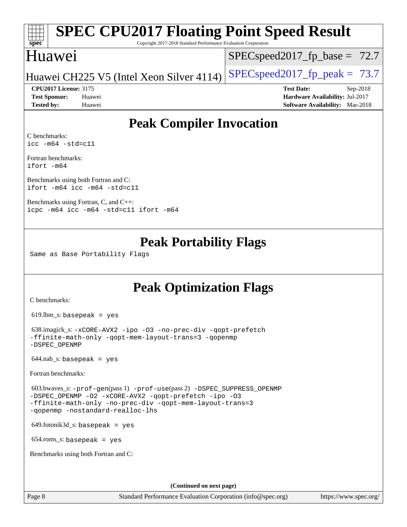# **[spec](http://www.spec.org/)**

# **[SPEC CPU2017 Floating Point Speed Result](http://www.spec.org/auto/cpu2017/Docs/result-fields.html#SPECCPU2017FloatingPointSpeedResult)**

Copyright 2017-2018 Standard Performance Evaluation Corporation

### Huawei

 $SPECspeed2017_fp\_base = 72.7$ 

Huawei CH225 V5 (Intel Xeon Silver 4114) SPECspeed 2017 fp peak =  $73.7$ 

**[Tested by:](http://www.spec.org/auto/cpu2017/Docs/result-fields.html#Testedby)** Huawei **[Software Availability:](http://www.spec.org/auto/cpu2017/Docs/result-fields.html#SoftwareAvailability)** Mar-2018

**[CPU2017 License:](http://www.spec.org/auto/cpu2017/Docs/result-fields.html#CPU2017License)** 3175 **[Test Date:](http://www.spec.org/auto/cpu2017/Docs/result-fields.html#TestDate)** Sep-2018 **[Test Sponsor:](http://www.spec.org/auto/cpu2017/Docs/result-fields.html#TestSponsor)** Huawei **[Hardware Availability:](http://www.spec.org/auto/cpu2017/Docs/result-fields.html#HardwareAvailability)** Jul-2017

## **[Peak Compiler Invocation](http://www.spec.org/auto/cpu2017/Docs/result-fields.html#PeakCompilerInvocation)**

[C benchmarks](http://www.spec.org/auto/cpu2017/Docs/result-fields.html#Cbenchmarks): [icc -m64 -std=c11](http://www.spec.org/cpu2017/results/res2018q4/cpu2017-20180904-08814.flags.html#user_CCpeak_intel_icc_64bit_c11_33ee0cdaae7deeeab2a9725423ba97205ce30f63b9926c2519791662299b76a0318f32ddfffdc46587804de3178b4f9328c46fa7c2b0cd779d7a61945c91cd35)

[Fortran benchmarks](http://www.spec.org/auto/cpu2017/Docs/result-fields.html#Fortranbenchmarks): [ifort -m64](http://www.spec.org/cpu2017/results/res2018q4/cpu2017-20180904-08814.flags.html#user_FCpeak_intel_ifort_64bit_24f2bb282fbaeffd6157abe4f878425411749daecae9a33200eee2bee2fe76f3b89351d69a8130dd5949958ce389cf37ff59a95e7a40d588e8d3a57e0c3fd751)

[Benchmarks using both Fortran and C](http://www.spec.org/auto/cpu2017/Docs/result-fields.html#BenchmarksusingbothFortranandC): [ifort -m64](http://www.spec.org/cpu2017/results/res2018q4/cpu2017-20180904-08814.flags.html#user_CC_FCpeak_intel_ifort_64bit_24f2bb282fbaeffd6157abe4f878425411749daecae9a33200eee2bee2fe76f3b89351d69a8130dd5949958ce389cf37ff59a95e7a40d588e8d3a57e0c3fd751) [icc -m64 -std=c11](http://www.spec.org/cpu2017/results/res2018q4/cpu2017-20180904-08814.flags.html#user_CC_FCpeak_intel_icc_64bit_c11_33ee0cdaae7deeeab2a9725423ba97205ce30f63b9926c2519791662299b76a0318f32ddfffdc46587804de3178b4f9328c46fa7c2b0cd779d7a61945c91cd35)

[Benchmarks using Fortran, C, and C++:](http://www.spec.org/auto/cpu2017/Docs/result-fields.html#BenchmarksusingFortranCandCXX) [icpc -m64](http://www.spec.org/cpu2017/results/res2018q4/cpu2017-20180904-08814.flags.html#user_CC_CXX_FCpeak_intel_icpc_64bit_4ecb2543ae3f1412ef961e0650ca070fec7b7afdcd6ed48761b84423119d1bf6bdf5cad15b44d48e7256388bc77273b966e5eb805aefd121eb22e9299b2ec9d9) [icc -m64 -std=c11](http://www.spec.org/cpu2017/results/res2018q4/cpu2017-20180904-08814.flags.html#user_CC_CXX_FCpeak_intel_icc_64bit_c11_33ee0cdaae7deeeab2a9725423ba97205ce30f63b9926c2519791662299b76a0318f32ddfffdc46587804de3178b4f9328c46fa7c2b0cd779d7a61945c91cd35) [ifort -m64](http://www.spec.org/cpu2017/results/res2018q4/cpu2017-20180904-08814.flags.html#user_CC_CXX_FCpeak_intel_ifort_64bit_24f2bb282fbaeffd6157abe4f878425411749daecae9a33200eee2bee2fe76f3b89351d69a8130dd5949958ce389cf37ff59a95e7a40d588e8d3a57e0c3fd751)

### **[Peak Portability Flags](http://www.spec.org/auto/cpu2017/Docs/result-fields.html#PeakPortabilityFlags)**

Same as Base Portability Flags

### **[Peak Optimization Flags](http://www.spec.org/auto/cpu2017/Docs/result-fields.html#PeakOptimizationFlags)**

[C benchmarks](http://www.spec.org/auto/cpu2017/Docs/result-fields.html#Cbenchmarks):

619.lbm\_s: basepeak = yes

```
 638.imagick_s: -xCORE-AVX2 -ipo -O3 -no-prec-div -qopt-prefetch
-ffinite-math-only -qopt-mem-layout-trans=3 -qopenmp
-DSPEC_OPENMP
```
 $644.nab$ <sub>S</sub>: basepeak = yes

[Fortran benchmarks](http://www.spec.org/auto/cpu2017/Docs/result-fields.html#Fortranbenchmarks):

```
 603.bwaves_s: -prof-gen(pass 1) -prof-use(pass 2) -DSPEC_SUPPRESS_OPENMP
-DSPEC_OPENMP -O2 -xCORE-AVX2 -qopt-prefetch -ipo -O3
-ffinite-math-only -no-prec-div -qopt-mem-layout-trans=3
-qopenmp -nostandard-realloc-lhs
```
649.fotonik3d\_s: basepeak = yes

654.roms\_s: basepeak = yes

[Benchmarks using both Fortran and C](http://www.spec.org/auto/cpu2017/Docs/result-fields.html#BenchmarksusingbothFortranandC):

**(Continued on next page)**